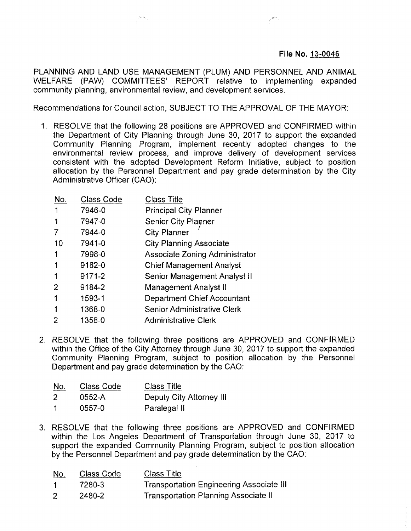## **File No. 13-0046**

PLANNING AND LAND USE MANAGEMENT (PLUM) AND PERSONNEL AND ANIMAL WELFARE (PAW) COMMITTEES' REPORT relative to implementing expanded community planning, environmental review, and development services.

Recommendations for Council action, SUBJECT TO THE APPROVAL OF THE MAYOR:

1. RESOLVE that the following 28 positions are APPROVED and CONFIRMED within the Department of City Planning through June 30, 2017 to support the expanded Community Planning Program, implement recently adopted changes to the environmental review process, and improve delivery of development services consistent with the adopted Development Reform Initiative, subject to position allocation by the Personnel Department and pay grade determination by the City Administrative Officer (CAO):

| No.            | <b>Class Code</b> | <b>Class Title</b>                    |
|----------------|-------------------|---------------------------------------|
| 1              | 7946-0            | <b>Principal City Planner</b>         |
| 1              | 7947-0            | <b>Senior City Planner</b>            |
| 7              | 7944-0            | City Planner                          |
| 10             | 7941-0            | City Planning Associate               |
| 1              | 7998-0            | <b>Associate Zoning Administrator</b> |
| 1              | 9182-0            | <b>Chief Management Analyst</b>       |
| 1              | 9171-2            | Senior Management Analyst II          |
| $\overline{2}$ | 9184-2            | <b>Management Analyst II</b>          |
| 1              | 1593-1            | Department Chief Accountant           |
| 1              | 1368-0            | Senior Administrative Clerk           |
| 2              | 1358-0            | <b>Administrative Clerk</b>           |

2. RESOLVE that the following three positions are APPROVED and CONFIRMED within the Office of the City Attorney through June 30, 2017 to support the expanded Community Planning Program, subject to position allocation by the Personnel Department and pay grade determination by the CAO:

| <u>No.</u> | Class Code | <b>Class Title</b>       |
|------------|------------|--------------------------|
| 2          | 0552-A     | Deputy City Attorney III |
| 1          | 0557-0     | Paralegal II             |

3. RESOLVE that the following three positions are APPROVED and CONFIRMED within the Los Angeles Department of Transportation through June 30, 2017 to support the expanded Community Planning Program, subject to position allocation by the Personnel Department and pay grade determination by the CAO:

| <u>No.</u> | Class Code | Class Title                                     |
|------------|------------|-------------------------------------------------|
|            | 7280-3     | <b>Transportation Engineering Associate III</b> |
|            | 2480-2     | Transportation Planning Associate II            |